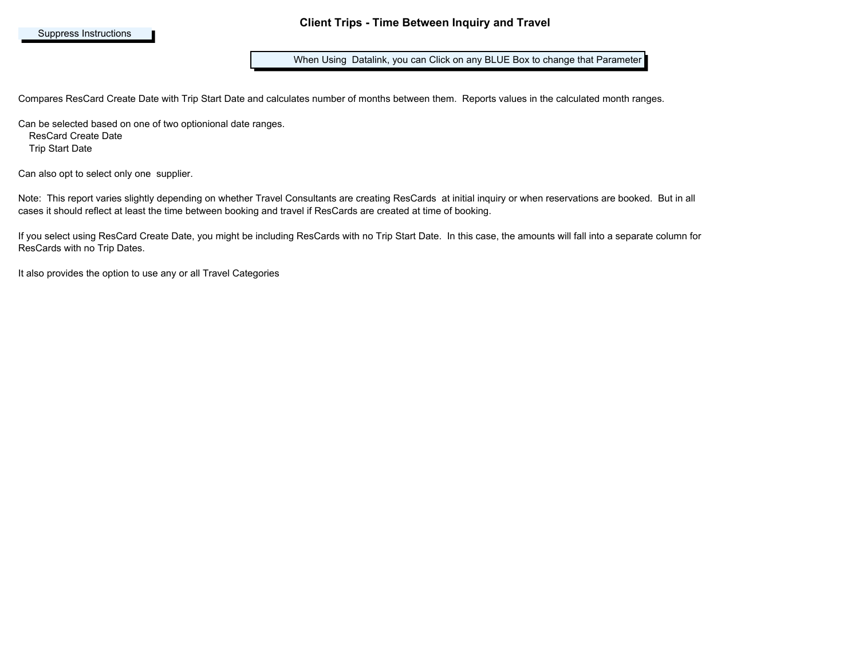When Using Datalink, you can Click on any BLUE Box to change that Parameter

Compares ResCard Create Date with Trip Start Date and calculates number of months between them. Reports values in the calculated month ranges.

Can be selected based on one of two optionional date ranges.

ResCard Create Date

Trip Start Date

Can also opt to select only one supplier.

Note: This report varies slightly depending on whether Travel Consultants are creating ResCards at initial inquiry or when reservations are booked. But in all cases it should reflect at least the time between booking and travel if ResCards are created at time of booking.

If you select using ResCard Create Date, you might be including ResCards with no Trip Start Date. In this case, the amounts will fall into a separate column for ResCards with no Trip Dates.

It also provides the option to use any or all Travel Categories